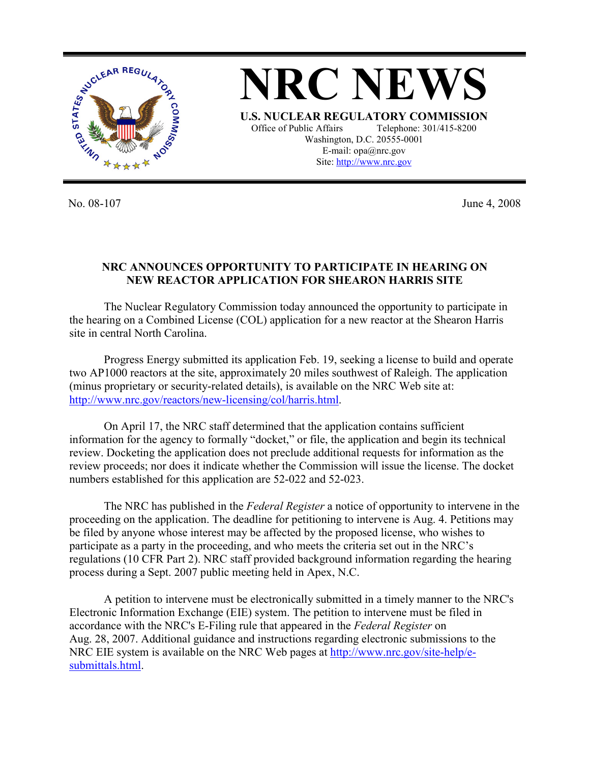

**NRC NEWS U.S. NUCLEAR REGULATORY COMMISSION** Office of Public Affairs Telephone: 301/415-8200 Washington, D.C. 20555-0001 E-mail: opa@nrc.gov Site: http://www.nrc.gov

No. 08-107 June 4, 2008

## **NRC ANNOUNCES OPPORTUNITY TO PARTICIPATE IN HEARING ON NEW REACTOR APPLICATION FOR SHEARON HARRIS SITE**

 The Nuclear Regulatory Commission today announced the opportunity to participate in the hearing on a Combined License (COL) application for a new reactor at the Shearon Harris site in central North Carolina.

Progress Energy submitted its application Feb. 19, seeking a license to build and operate two AP1000 reactors at the site, approximately 20 miles southwest of Raleigh. The application (minus proprietary or security-related details), is available on the NRC Web site at: http://www.nrc.gov/reactors/new-licensing/col/harris.html.

On April 17, the NRC staff determined that the application contains sufficient information for the agency to formally "docket," or file, the application and begin its technical review. Docketing the application does not preclude additional requests for information as the review proceeds; nor does it indicate whether the Commission will issue the license. The docket numbers established for this application are 52-022 and 52-023.

 The NRC has published in the *Federal Register* a notice of opportunity to intervene in the proceeding on the application. The deadline for petitioning to intervene is Aug. 4. Petitions may be filed by anyone whose interest may be affected by the proposed license, who wishes to participate as a party in the proceeding, and who meets the criteria set out in the NRC's regulations (10 CFR Part 2). NRC staff provided background information regarding the hearing process during a Sept. 2007 public meeting held in Apex, N.C.

 A petition to intervene must be electronically submitted in a timely manner to the NRC's Electronic Information Exchange (EIE) system. The petition to intervene must be filed in accordance with the NRC's E-Filing rule that appeared in the *Federal Register* on Aug. 28, 2007. Additional guidance and instructions regarding electronic submissions to the NRC EIE system is available on the NRC Web pages at http://www.nrc.gov/site-help/esubmittals.html.